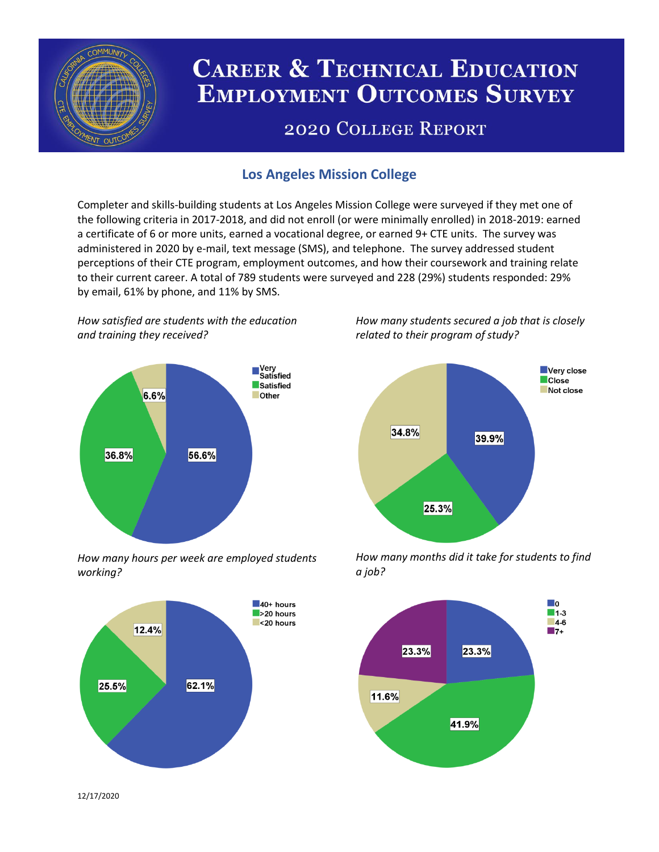

# **CAREER & TECHNICAL EDUCATION EMPLOYMENT OUTCOMES SURVEY**

## **2020 COLLEGE REPORT**

## **Los Angeles Mission College**

Completer and skills-building students at Los Angeles Mission College were surveyed if they met one of the following criteria in 2017-2018, and did not enroll (or were minimally enrolled) in 2018-2019: earned a certificate of 6 or more units, earned a vocational degree, or earned 9+ CTE units. The survey was administered in 2020 by e-mail, text message (SMS), and telephone. The survey addressed student perceptions of their CTE program, employment outcomes, and how their coursework and training relate to their current career. A total of 789 students were surveyed and 228 (29%) students responded: 29% by email, 61% by phone, and 11% by SMS.

*How satisfied are students with the education and training they received?*



*How many hours per week are employed students working?*



*How many students secured a job that is closely related to their program of study?*



*How many months did it take for students to find a job?*



12/17/2020